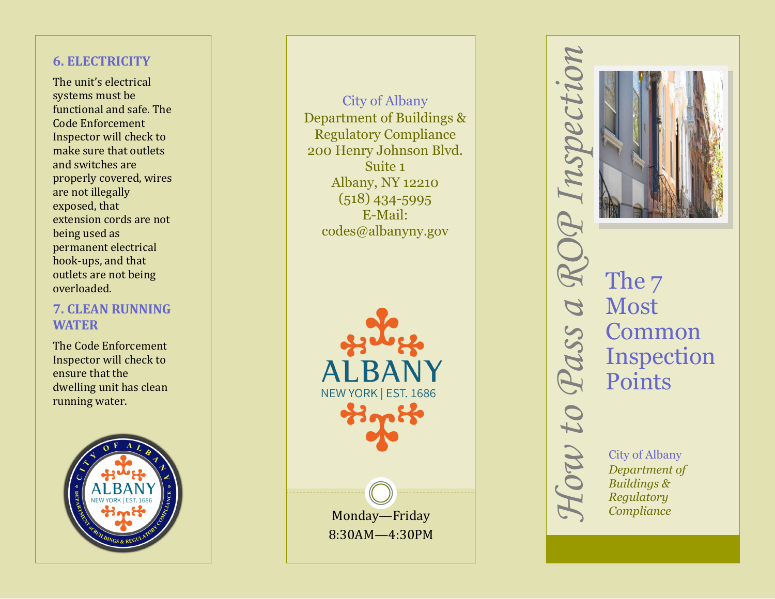# **6. ELECTRICITY**

The unit 's electrical systems must be functional and safe. The Code Enforcement Inspector will check to make sure that outlets and switches are properly covered, wires are not illegally exposed, that extension cords are not being used as permanent electrical hook -ups, and that outlets are not being overloaded.

## **7. CLEAN RUNNING WATER**

The Code Enforcement Inspector will check to ensure that the dwelling unit has clean running water.



City of Albany Department of Buildings & Regulatory Compliance 200 Henry Johnson Blvd. Suite 1 Albany, NY 12210 (518) 434 -5995 E -Mail: codes@albanyny.gov



*How to Pass a ROP Inspection* The  $7$ Most Common Inspection Points  $\alpha v$  to City of Albany *Department of Buildings & Regulatory Compliance*